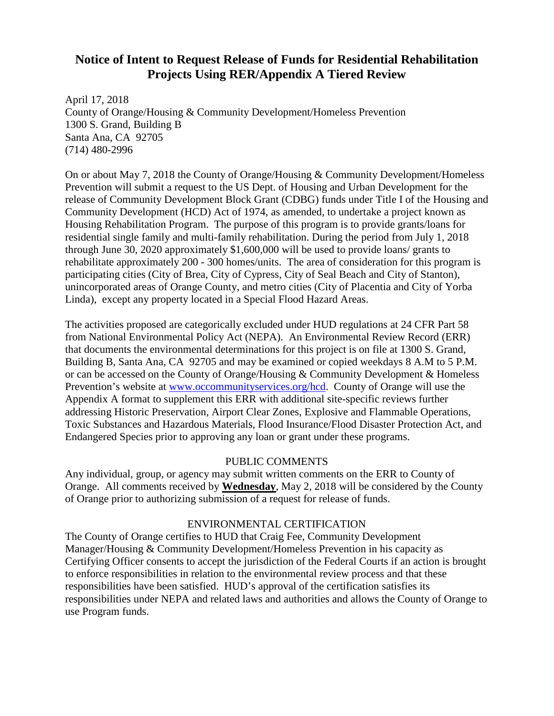# **Notice of Intent to Request Release of Funds for Residential Rehabilitation Projects Using RER/Appendix A Tiered Review**

April 17, 2018 County of Orange/Housing & Community Development/Homeless Prevention 1300 S. Grand, Building B Santa Ana, CA 92705 (714) 480-2996

On or about May 7, 2018 the County of Orange/Housing & Community Development/Homeless Prevention will submit a request to the US Dept. of Housing and Urban Development for the release of Community Development Block Grant (CDBG) funds under Title I of the Housing and Community Development (HCD) Act of 1974, as amended, to undertake a project known as Housing Rehabilitation Program. The purpose of this program is to provide grants/loans for residential single family and multi-family rehabilitation. During the period from July 1, 2018 through June 30, 2020 approximately \$1,600,000 will be used to provide loans/ grants to rehabilitate approximately 200 - 300 homes/units. The area of consideration for this program is participating cities (City of Brea, City of Cypress, City of Seal Beach and City of Stanton), unincorporated areas of Orange County, and metro cities (City of Placentia and City of Yorba Linda), except any property located in a Special Flood Hazard Areas.

The activities proposed are categorically excluded under HUD regulations at 24 CFR Part 58 from National Environmental Policy Act (NEPA). An Environmental Review Record (ERR) that documents the environmental determinations for this project is on file at 1300 S. Grand, Building B, Santa Ana, CA 92705 and may be examined or copied weekdays 8 A.M to 5 P.M. or can be accessed on the County of Orange/Housing & Community Development & Homeless Prevention's website at [www.occommunityservices.org/hcd.](http://www.occommunityservices.org/hcd) County of Orange will use the Appendix A format to supplement this ERR with additional site-specific reviews further addressing Historic Preservation, Airport Clear Zones, Explosive and Flammable Operations, Toxic Substances and Hazardous Materials, Flood Insurance/Flood Disaster Protection Act, and Endangered Species prior to approving any loan or grant under these programs.

## PUBLIC COMMENTS

Any individual, group, or agency may submit written comments on the ERR to County of Orange. All comments received by **Wednesday**, May 2, 2018 will be considered by the County of Orange prior to authorizing submission of a request for release of funds.

## ENVIRONMENTAL CERTIFICATION

The County of Orange certifies to HUD that Craig Fee, Community Development Manager/Housing & Community Development/Homeless Prevention in his capacity as Certifying Officer consents to accept the jurisdiction of the Federal Courts if an action is brought to enforce responsibilities in relation to the environmental review process and that these responsibilities have been satisfied. HUD's approval of the certification satisfies its responsibilities under NEPA and related laws and authorities and allows the County of Orange to use Program funds.